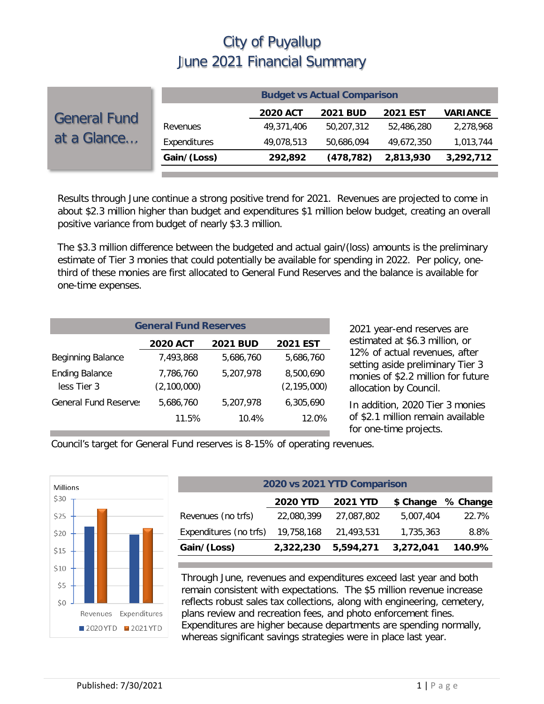|                                    |              |                 | <b>Budget vs Actual Comparison</b> |                 |                 |
|------------------------------------|--------------|-----------------|------------------------------------|-----------------|-----------------|
| <b>General Fund</b><br>at a Glance |              | <b>2020 ACT</b> | <b>2021 BUD</b>                    | <b>2021 EST</b> | <b>VARIANCE</b> |
|                                    | Revenues     | 49,371,406      | 50,207,312                         | 52.486.280      | 2,278,968       |
|                                    | Expenditures | 49,078,513      | 50,686,094                         | 49.672.350      | 1,013,744       |
|                                    | Gain/(Loss)  | 292,892         | (478, 782)                         | 2,813,930       | 3,292,712       |
|                                    |              |                 |                                    |                 |                 |

Results through June continue a strong positive trend for 2021. Revenues are projected to come in about \$2.3 million higher than budget and expenditures \$1 million below budget, creating an overall positive variance from budget of nearly \$3.3 million.

The \$3.3 million difference between the budgeted and actual gain/(loss) amounts is the preliminary estimate of Tier 3 monies that could potentially be available for spending in 2022. Per policy, onethird of these monies are first allocated to General Fund Reserves and the balance is available for one-time expenses.

| <b>General Fund Reserves</b>         |                          |                 |                            |  |  |  |
|--------------------------------------|--------------------------|-----------------|----------------------------|--|--|--|
|                                      | <b>2020 ACT</b>          | <b>2021 BUD</b> | <b>2021 EST</b>            |  |  |  |
| <b>Beginning Balance</b>             | 7,493,868                | 5,686,760       | 5,686,760                  |  |  |  |
| <b>Ending Balance</b><br>less Tier 3 | 7,786,760<br>(2,100,000) | 5,207,978       | 8,500,690<br>(2, 195, 000) |  |  |  |
| <b>General Fund Reserve:</b>         | 5,686,760                | 5,207,978       | 6,305,690                  |  |  |  |
|                                      | 11.5%                    | 10.4%           | $12.0\%$                   |  |  |  |

2021 year-end reserves are estimated at \$6.3 million, or 12% of actual revenues, after setting aside preliminary Tier 3 monies of \$2.2 million for future allocation by Council.

In addition, 2020 Tier 3 monies of \$2.1 million remain available for one-time projects.

Council's target for General Fund reserves is 8-15% of operating revenues.



| 2020 vs 2021 YTD Comparison                                  |            |           |       |  |  |  |  |
|--------------------------------------------------------------|------------|-----------|-------|--|--|--|--|
| % Change<br><b>2020 YTD</b><br><b>2021 YTD</b><br>\$ Change  |            |           |       |  |  |  |  |
| 22,080,399                                                   | 27,087,802 | 5,007,404 | 22.7% |  |  |  |  |
| 19,758,168                                                   | 21,493,531 | 1,735,363 | 8.8%  |  |  |  |  |
| Gain/(Loss)<br>2,322,230<br>3,272,041<br>5,594,271<br>140.9% |            |           |       |  |  |  |  |
|                                                              |            |           |       |  |  |  |  |

Through June, revenues and expenditures exceed last year and both remain consistent with expectations. The \$5 million revenue increase reflects robust sales tax collections, along with engineering, cemetery, plans review and recreation fees, and photo enforcement fines. Expenditures are higher because departments are spending normally, whereas significant savings strategies were in place last year.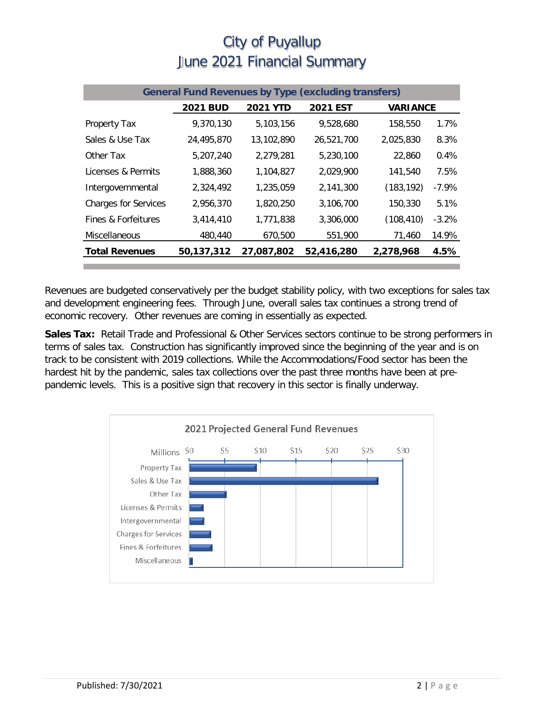| <b>General Fund Revenues by Type (excluding transfers)</b> |                 |                 |                 |                 |          |  |  |
|------------------------------------------------------------|-----------------|-----------------|-----------------|-----------------|----------|--|--|
|                                                            | <b>2021 BUD</b> | <b>2021 YTD</b> | <b>2021 EST</b> | <b>VARIANCE</b> |          |  |  |
| <b>Property Tax</b>                                        | 9,370,130       | 5,103,156       | 9,528,680       | 158,550         | 1.7%     |  |  |
| Sales & Use Tax                                            | 24,495,870      | 13,102,890      | 26,521,700      | 2,025,830       | 8.3%     |  |  |
| Other Tax                                                  | 5,207,240       | 2,279,281       | 5,230,100       | 22,860          | 0.4%     |  |  |
| Licenses & Permits                                         | 1,888,360       | 1,104,827       | 2.029.900       | 141,540         | 7.5%     |  |  |
| Intergovernmental                                          | 2,324,492       | 1,235,059       | 2,141,300       | (183, 192)      | $-7.9\%$ |  |  |
| <b>Charges for Services</b>                                | 2,956,370       | 1,820,250       | 3,106,700       | 150,330         | 5.1%     |  |  |
| Fines & Forfeitures                                        | 3,414,410       | 1,771,838       | 3,306,000       | (108, 410)      | $-3.2%$  |  |  |
| Miscellaneous                                              | 480,440         | 670,500         | 551,900         | 71,460          | 14.9%    |  |  |
| <b>Total Revenues</b>                                      | 50,137,312      | 27,087,802      | 52,416,280      | 2,278,968       | 4.5%     |  |  |

Revenues are budgeted conservatively per the budget stability policy, with two exceptions for sales tax and development engineering fees. Through June, overall sales tax continues a strong trend of economic recovery. Other revenues are coming in essentially as expected.

**Sales Tax:** Retail Trade and Professional & Other Services sectors continue to be strong performers in terms of sales tax. Construction has significantly improved since the beginning of the year and is on track to be consistent with 2019 collections. While the Accommodations/Food sector has been the hardest hit by the pandemic, sales tax collections over the past three months have been at prepandemic levels. This is a positive sign that recovery in this sector is finally underway.

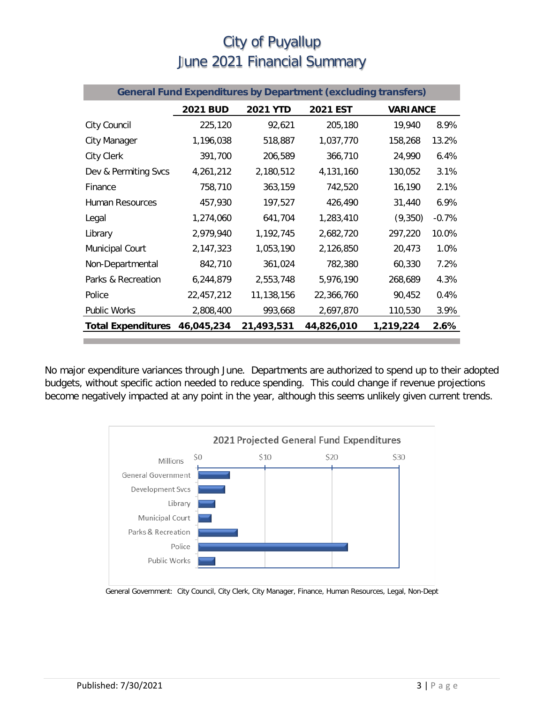| <b>General Fund Expenditures by Department (excluding transfers)</b> |                 |                 |                 |                 |         |  |
|----------------------------------------------------------------------|-----------------|-----------------|-----------------|-----------------|---------|--|
|                                                                      | <b>2021 BUD</b> | <b>2021 YTD</b> | <b>2021 EST</b> | <b>VARIANCE</b> |         |  |
| City Council                                                         | 225,120         | 92,621          | 205,180         | 19,940          | 8.9%    |  |
| City Manager                                                         | 1,196,038       | 518,887         | 1,037,770       | 158,268         | 13.2%   |  |
| <b>City Clerk</b>                                                    | 391,700         | 206,589         | 366,710         | 24,990          | 6.4%    |  |
| Dev & Permiting Svcs                                                 | 4,261,212       | 2,180,512       | 4,131,160       | 130,052         | 3.1%    |  |
| Finance                                                              | 758,710         | 363,159         | 742,520         | 16,190          | 2.1%    |  |
| <b>Human Resources</b>                                               | 457,930         | 197,527         | 426,490         | 31,440          | 6.9%    |  |
| Legal                                                                | 1,274,060       | 641,704         | 1,283,410       | (9,350)         | $-0.7%$ |  |
| Library                                                              | 2,979,940       | 1,192,745       | 2,682,720       | 297,220         | 10.0%   |  |
| Municipal Court                                                      | 2,147,323       | 1,053,190       | 2,126,850       | 20,473          | 1.0%    |  |
| Non-Departmental                                                     | 842,710         | 361,024         | 782,380         | 60,330          | 7.2%    |  |
| Parks & Recreation                                                   | 6,244,879       | 2,553,748       | 5,976,190       | 268,689         | 4.3%    |  |
| Police                                                               | 22,457,212      | 11,138,156      | 22,366,760      | 90,452          | 0.4%    |  |
| <b>Public Works</b>                                                  | 2,808,400       | 993,668         | 2,697,870       | 110,530         | 3.9%    |  |
| <b>Total Expenditures</b>                                            | 46,045,234      | 21,493,531      | 44,826,010      | 1,219,224       | 2.6%    |  |

No major expenditure variances through June. Departments are authorized to spend up to their adopted budgets, without specific action needed to reduce spending. This could change if revenue projections become negatively impacted at any point in the year, although this seems unlikely given current trends.



General Government: City Council, City Clerk, City Manager, Finance, Human Resources, Legal, Non-Dept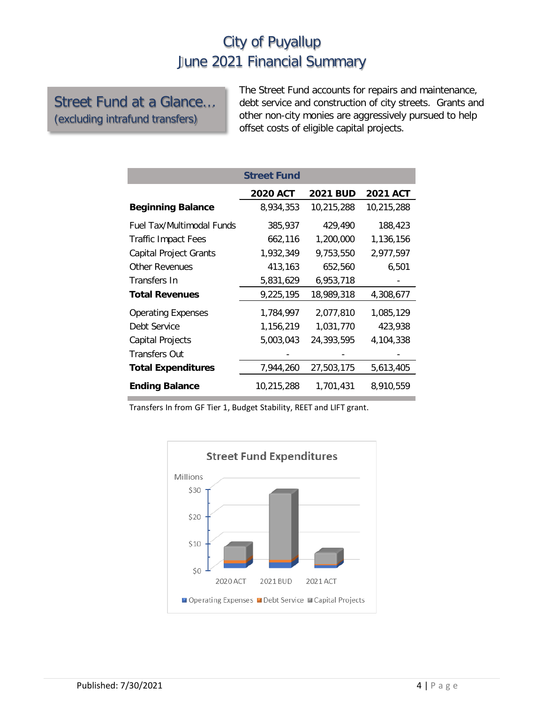Street Fund at a Glance… (excluding intrafund transfers)

The Street Fund accounts for repairs and maintenance, debt service and construction of city streets. Grants and other non-city monies are aggressively pursued to help offset costs of eligible capital projects.

|                                  | <b>Street Fund</b> |                 |                 |
|----------------------------------|--------------------|-----------------|-----------------|
|                                  | <b>2020 ACT</b>    | <b>2021 BUD</b> | <b>2021 ACT</b> |
| <b>Beginning Balance</b>         | 8,934,353          | 10,215,288      | 10,215,288      |
| <b>Fuel Tax/Multimodal Funds</b> | 385,937            | 429,490         | 188,423         |
| <b>Traffic Impact Fees</b>       | 662,116            | 1,200,000       | 1,136,156       |
| <b>Capital Project Grants</b>    | 1,932,349          | 9,753,550       | 2,977,597       |
| <b>Other Revenues</b>            | 413,163            | 652,560         | 6,501           |
| Transfers In                     | 5,831,629          | 6,953,718       |                 |
| <b>Total Revenues</b>            | 9,225,195          | 18,989,318      | 4,308,677       |
| <b>Operating Expenses</b>        | 1,784,997          | 2,077,810       | 1,085,129       |
| Debt Service                     | 1,156,219          | 1,031,770       | 423,938         |
| Capital Projects                 | 5,003,043          | 24,393,595      | 4,104,338       |
| <b>Transfers Out</b>             |                    |                 |                 |
| <b>Total Expenditures</b>        | 7,944,260          | 27,503,175      | 5,613,405       |
| <b>Ending Balance</b>            | 10,215,288         | 1,701,431       | 8,910,559       |

Transfers In from GF Tier 1, Budget Stability, REET and LIFT grant.

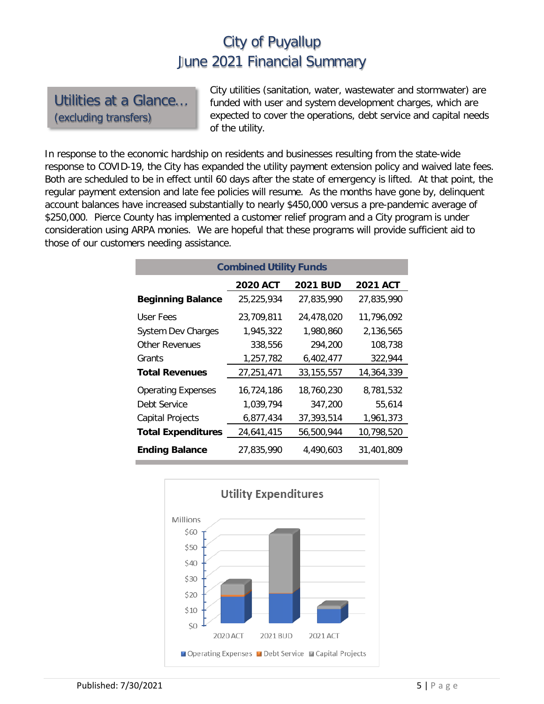Utilities at a Glance… (excluding transfers)

City utilities (sanitation, water, wastewater and stormwater) are funded with user and system development charges, which are expected to cover the operations, debt service and capital needs of the utility.

In response to the economic hardship on residents and businesses resulting from the state-wide response to COVID-19, the City has expanded the utility payment extension policy and waived late fees. Both are scheduled to be in effect until 60 days after the state of emergency is lifted. At that point, the regular payment extension and late fee policies will resume. As the months have gone by, delinquent account balances have increased substantially to nearly \$450,000 versus a pre-pandemic average of \$250,000. Pierce County has implemented a customer relief program and a City program is under consideration using ARPA monies. We are hopeful that these programs will provide sufficient aid to those of our customers needing assistance.

| <b>Combined Utility Funds</b> |                 |                 |                 |  |  |  |  |
|-------------------------------|-----------------|-----------------|-----------------|--|--|--|--|
|                               | <b>2020 ACT</b> | <b>2021 BUD</b> | <b>2021 ACT</b> |  |  |  |  |
| <b>Beginning Balance</b>      | 25,225,934      | 27,835,990      | 27,835,990      |  |  |  |  |
| User Fees                     | 23,709,811      | 24,478,020      | 11,796,092      |  |  |  |  |
| <b>System Dev Charges</b>     | 1,945,322       | 1,980,860       | 2,136,565       |  |  |  |  |
| Other Revenues                | 338,556         | 294,200         | 108,738         |  |  |  |  |
| Grants                        | 1,257,782       | 6,402,477       | 322,944         |  |  |  |  |
| <b>Total Revenues</b>         | 27,251,471      | 33, 155, 557    | 14,364,339      |  |  |  |  |
| <b>Operating Expenses</b>     | 16,724,186      | 18,760,230      | 8,781,532       |  |  |  |  |
| Debt Service                  | 1,039,794       | 347,200         | 55,614          |  |  |  |  |
| <b>Capital Projects</b>       | 6,877,434       | 37,393,514      | 1,961,373       |  |  |  |  |
| <b>Total Expenditures</b>     | 24,641,415      | 56,500,944      | 10,798,520      |  |  |  |  |
| <b>Ending Balance</b>         | 27,835,990      | 4.490.603       | 31,401,809      |  |  |  |  |

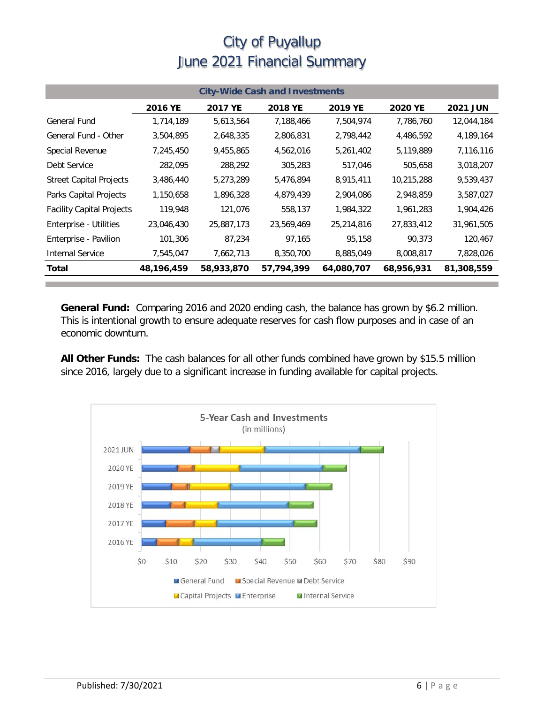| <b>City-Wide Cash and Investments</b> |            |                |                |            |                |                 |  |
|---------------------------------------|------------|----------------|----------------|------------|----------------|-----------------|--|
|                                       | 2016 YE    | <b>2017 YE</b> | <b>2018 YE</b> | 2019 YE    | <b>2020 YE</b> | <b>2021 JUN</b> |  |
| <b>General Fund</b>                   | 1,714,189  | 5,613,564      | 7,188,466      | 7,504,974  | 7,786,760      | 12,044,184      |  |
| General Fund - Other                  | 3,504,895  | 2,648,335      | 2,806,831      | 2,798,442  | 4,486,592      | 4,189,164       |  |
| Special Revenue                       | 7,245,450  | 9,455,865      | 4,562,016      | 5,261,402  | 5,119,889      | 7,116,116       |  |
| Debt Service                          | 282,095    | 288,292        | 305,283        | 517,046    | 505,658        | 3,018,207       |  |
| <b>Street Capital Projects</b>        | 3,486,440  | 5,273,289      | 5,476,894      | 8,915,411  | 10,215,288     | 9,539,437       |  |
| Parks Capital Projects                | 1,150,658  | 1,896,328      | 4,879,439      | 2,904,086  | 2,948,859      | 3,587,027       |  |
| <b>Facility Capital Projects</b>      | 119,948    | 121,076        | 558,137        | 1,984,322  | 1,961,283      | 1,904,426       |  |
| Enterprise - Utilities                | 23,046,430 | 25,887,173     | 23,569,469     | 25,214,816 | 27,833,412     | 31,961,505      |  |
| Enterprise - Pavilion                 | 101,306    | 87,234         | 97,165         | 95,158     | 90.373         | 120,467         |  |
| <b>Internal Service</b>               | 7,545,047  | 7,662,713      | 8,350,700      | 8,885,049  | 8,008,817      | 7,828,026       |  |
| Total                                 | 48,196,459 | 58,933,870     | 57,794,399     | 64,080,707 | 68,956,931     | 81,308,559      |  |

**General Fund:** Comparing 2016 and 2020 ending cash, the balance has grown by \$6.2 million. This is intentional growth to ensure adequate reserves for cash flow purposes and in case of an economic downturn.

**All Other Funds:** The cash balances for all other funds combined have grown by \$15.5 million since 2016, largely due to a significant increase in funding available for capital projects.